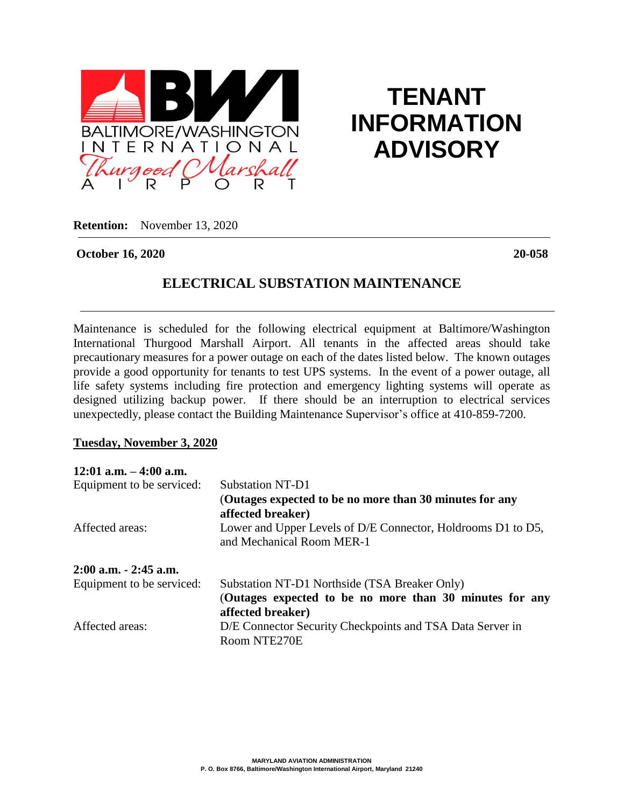

# **TENANT INFORMATION ADVISORY**

**Retention:** November 13, 2020

#### **October 16, 2020 20-058**

## **ELECTRICAL SUBSTATION MAINTENANCE**

Maintenance is scheduled for the following electrical equipment at Baltimore/Washington International Thurgood Marshall Airport. All tenants in the affected areas should take precautionary measures for a power outage on each of the dates listed below. The known outages provide a good opportunity for tenants to test UPS systems. In the event of a power outage, all life safety systems including fire protection and emergency lighting systems will operate as designed utilizing backup power. If there should be an interruption to electrical services unexpectedly, please contact the Building Maintenance Supervisor's office at 410-859-7200.

#### **Tuesday, November 3, 2020**

| $12:01$ a.m. $-4:00$ a.m. |                                                                                           |
|---------------------------|-------------------------------------------------------------------------------------------|
| Equipment to be serviced: | <b>Substation NT-D1</b>                                                                   |
|                           | (Outages expected to be no more than 30 minutes for any<br>affected breaker)              |
| Affected areas:           | Lower and Upper Levels of D/E Connector, Holdrooms D1 to D5,<br>and Mechanical Room MER-1 |
| 2:00 a.m. - 2:45 a.m.     |                                                                                           |
| Equipment to be serviced: | Substation NT-D1 Northside (TSA Breaker Only)                                             |
|                           | (Outages expected to be no more than 30 minutes for any<br>affected breaker)              |
| Affected areas:           | D/E Connector Security Checkpoints and TSA Data Server in                                 |
|                           | Room NTE270E                                                                              |